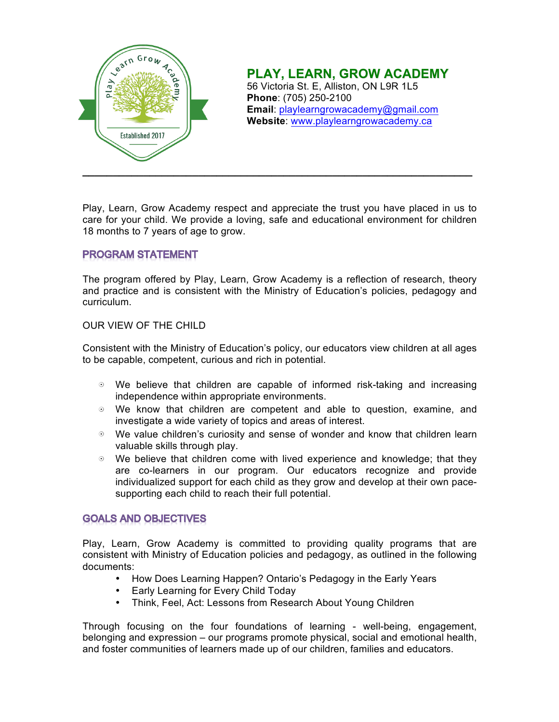

# **PLAY, LEARN, GROW ACADEMY**

56 Victoria St. E, Alliston, ON L9R 1L5 **Phone**: (705) 250-2100 **Email**: playlearngrowacademy@gmail.com **Website**: www.playlearngrowacademy.ca

Play, Learn, Grow Academy respect and appreciate the trust you have placed in us to care for your child. We provide a loving, safe and educational environment for children 18 months to 7 years of age to grow.

### **PROGRAM STATEMENT**

The program offered by Play, Learn, Grow Academy is a reflection of research, theory and practice and is consistent with the Ministry of Education's policies, pedagogy and curriculum.

### OUR VIEW OF THE CHILD

Consistent with the Ministry of Education's policy, our educators view children at all ages to be capable, competent, curious and rich in potential.

- We believe that children are capable of informed risk-taking and increasing independence within appropriate environments.
- We know that children are competent and able to question, examine, and investigate a wide variety of topics and areas of interest.
- We value children's curiosity and sense of wonder and know that children learn valuable skills through play.
- We believe that children come with lived experience and knowledge; that they are co-learners in our program. Our educators recognize and provide individualized support for each child as they grow and develop at their own pacesupporting each child to reach their full potential.

### **GOALS AND OBJECTIVES**

Play, Learn, Grow Academy is committed to providing quality programs that are consistent with Ministry of Education policies and pedagogy, as outlined in the following documents:

- How Does Learning Happen? Ontario's Pedagogy in the Early Years
- Early Learning for Every Child Today
- Think, Feel, Act: Lessons from Research About Young Children

Through focusing on the four foundations of learning - well-being, engagement, belonging and expression – our programs promote physical, social and emotional health, and foster communities of learners made up of our children, families and educators.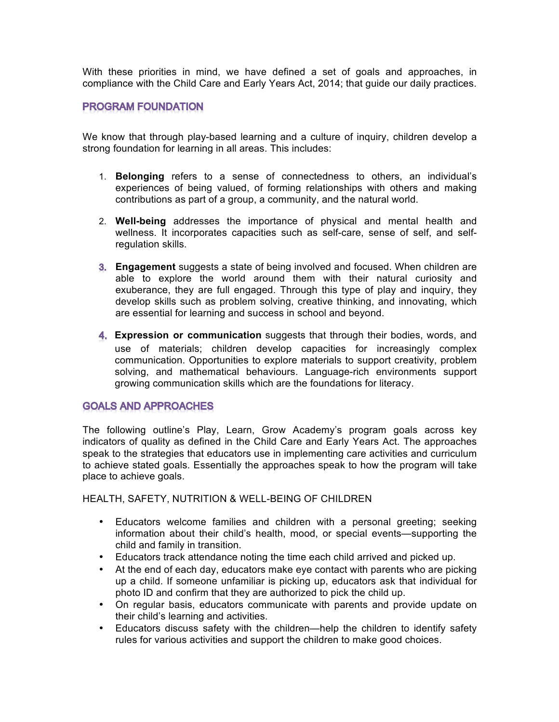With these priorities in mind, we have defined a set of goals and approaches, in compliance with the Child Care and Early Years Act, 2014; that guide our daily practices.

#### **PROGRAM FOUNDATION**

We know that through play-based learning and a culture of inquiry, children develop a strong foundation for learning in all areas. This includes:

- 1. **Belonging** refers to a sense of connectedness to others, an individual's experiences of being valued, of forming relationships with others and making contributions as part of a group, a community, and the natural world.
- 2. **Well-being** addresses the importance of physical and mental health and wellness. It incorporates capacities such as self-care, sense of self, and selfregulation skills.
- **Engagement** suggests a state of being involved and focused. When children are able to explore the world around them with their natural curiosity and exuberance, they are full engaged. Through this type of play and inquiry, they develop skills such as problem solving, creative thinking, and innovating, which are essential for learning and success in school and beyond.
- **Expression or communication** suggests that through their bodies, words, and use of materials; children develop capacities for increasingly complex communication. Opportunities to explore materials to support creativity, problem solving, and mathematical behaviours. Language-rich environments support growing communication skills which are the foundations for literacy.

### **GOALS AND APPROACHES**

The following outline's Play, Learn, Grow Academy's program goals across key indicators of quality as defined in the Child Care and Early Years Act. The approaches speak to the strategies that educators use in implementing care activities and curriculum to achieve stated goals. Essentially the approaches speak to how the program will take place to achieve goals.

HEALTH, SAFETY, NUTRITION & WELL-BEING OF CHILDREN

- Educators welcome families and children with a personal greeting; seeking information about their child's health, mood, or special events—supporting the child and family in transition.
- Educators track attendance noting the time each child arrived and picked up.
- At the end of each day, educators make eye contact with parents who are picking up a child. If someone unfamiliar is picking up, educators ask that individual for photo ID and confirm that they are authorized to pick the child up.
- On regular basis, educators communicate with parents and provide update on their child's learning and activities.
- Educators discuss safety with the children—help the children to identify safety rules for various activities and support the children to make good choices.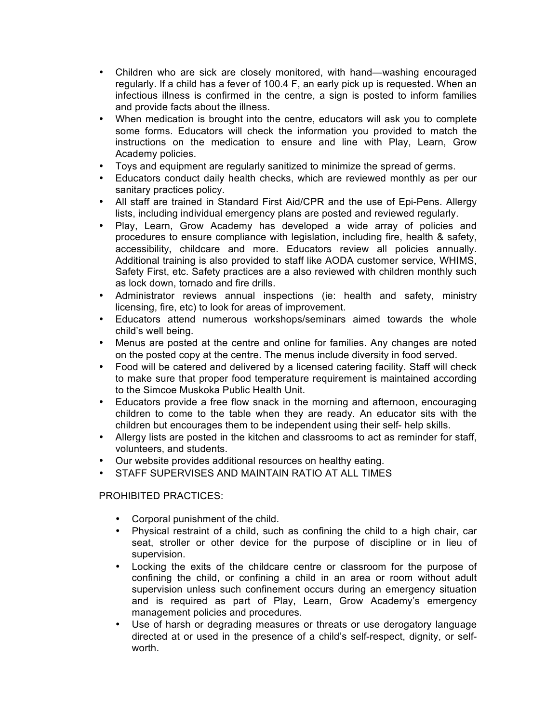- Children who are sick are closely monitored, with hand—washing encouraged regularly. If a child has a fever of 100.4 F, an early pick up is requested. When an infectious illness is confirmed in the centre, a sign is posted to inform families and provide facts about the illness.
- When medication is brought into the centre, educators will ask you to complete some forms. Educators will check the information you provided to match the instructions on the medication to ensure and line with Play, Learn, Grow Academy policies.
- Toys and equipment are regularly sanitized to minimize the spread of germs.
- Educators conduct daily health checks, which are reviewed monthly as per our sanitary practices policy.
- All staff are trained in Standard First Aid/CPR and the use of Epi-Pens. Allergy lists, including individual emergency plans are posted and reviewed regularly.
- Play, Learn, Grow Academy has developed a wide array of policies and procedures to ensure compliance with legislation, including fire, health & safety, accessibility, childcare and more. Educators review all policies annually. Additional training is also provided to staff like AODA customer service, WHIMS, Safety First, etc. Safety practices are a also reviewed with children monthly such as lock down, tornado and fire drills.
- Administrator reviews annual inspections (ie: health and safety, ministry licensing, fire, etc) to look for areas of improvement.
- Educators attend numerous workshops/seminars aimed towards the whole child's well being.
- Menus are posted at the centre and online for families. Any changes are noted on the posted copy at the centre. The menus include diversity in food served.
- Food will be catered and delivered by a licensed catering facility. Staff will check to make sure that proper food temperature requirement is maintained according to the Simcoe Muskoka Public Health Unit.
- Educators provide a free flow snack in the morning and afternoon, encouraging children to come to the table when they are ready. An educator sits with the children but encourages them to be independent using their self- help skills.
- Allergy lists are posted in the kitchen and classrooms to act as reminder for staff, volunteers, and students.
- Our website provides additional resources on healthy eating.
- STAFF SUPERVISES AND MAINTAIN RATIO AT ALL TIMES

### PROHIBITED PRACTICES:

- Corporal punishment of the child.
- Physical restraint of a child, such as confining the child to a high chair, car seat, stroller or other device for the purpose of discipline or in lieu of supervision.
- Locking the exits of the childcare centre or classroom for the purpose of confining the child, or confining a child in an area or room without adult supervision unless such confinement occurs during an emergency situation and is required as part of Play, Learn, Grow Academy's emergency management policies and procedures.
- Use of harsh or degrading measures or threats or use derogatory language directed at or used in the presence of a child's self-respect, dignity, or selfworth.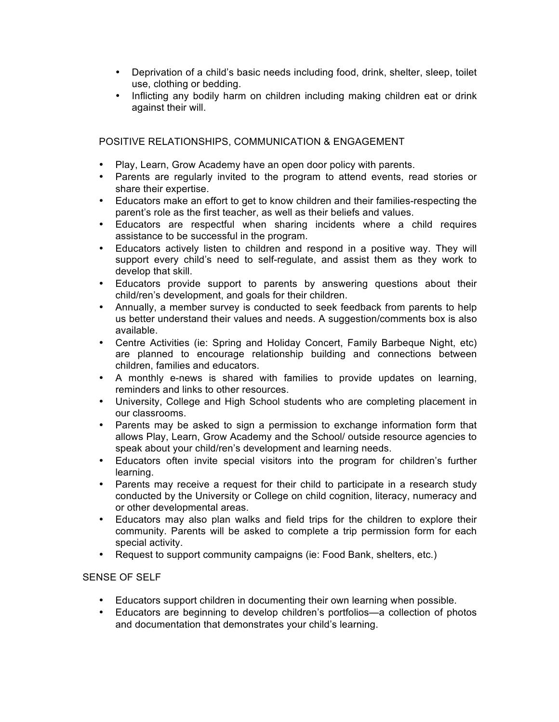- Deprivation of a child's basic needs including food, drink, shelter, sleep, toilet use, clothing or bedding.
- Inflicting any bodily harm on children including making children eat or drink against their will.

POSITIVE RELATIONSHIPS, COMMUNICATION & ENGAGEMENT

- Play, Learn, Grow Academy have an open door policy with parents.
- Parents are regularly invited to the program to attend events, read stories or share their expertise.
- Educators make an effort to get to know children and their families-respecting the parent's role as the first teacher, as well as their beliefs and values.
- Educators are respectful when sharing incidents where a child requires assistance to be successful in the program.
- Educators actively listen to children and respond in a positive way. They will support every child's need to self-regulate, and assist them as they work to develop that skill.
- Educators provide support to parents by answering questions about their child/ren's development, and goals for their children.
- Annually, a member survey is conducted to seek feedback from parents to help us better understand their values and needs. A suggestion/comments box is also available.
- Centre Activities (ie: Spring and Holiday Concert, Family Barbeque Night, etc) are planned to encourage relationship building and connections between children, families and educators.
- A monthly e-news is shared with families to provide updates on learning, reminders and links to other resources.
- University, College and High School students who are completing placement in our classrooms.
- Parents may be asked to sign a permission to exchange information form that allows Play, Learn, Grow Academy and the School/ outside resource agencies to speak about your child/ren's development and learning needs.
- Educators often invite special visitors into the program for children's further learning.
- Parents may receive a request for their child to participate in a research study conducted by the University or College on child cognition, literacy, numeracy and or other developmental areas.
- Educators may also plan walks and field trips for the children to explore their community. Parents will be asked to complete a trip permission form for each special activity.
- Request to support community campaigns (ie: Food Bank, shelters, etc.)

### SENSE OF SELF

- Educators support children in documenting their own learning when possible.
- Educators are beginning to develop children's portfolios—a collection of photos and documentation that demonstrates your child's learning.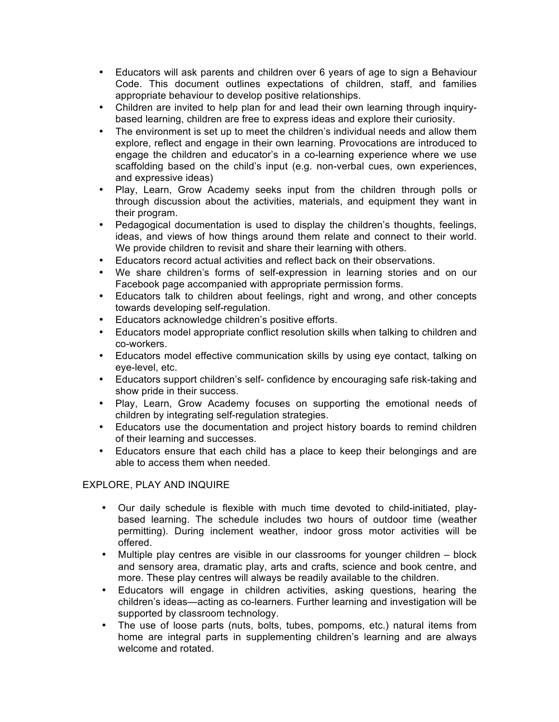- Educators will ask parents and children over 6 years of age to sign a Behaviour Code. This document outlines expectations of children, staff, and families appropriate behaviour to develop positive relationships.
- Children are invited to help plan for and lead their own learning through inquirybased learning, children are free to express ideas and explore their curiosity.
- The environment is set up to meet the children's individual needs and allow them explore, reflect and engage in their own learning. Provocations are introduced to engage the children and educator's in a co-learning experience where we use scaffolding based on the child's input (e.g. non-verbal cues, own experiences, and expressive ideas)
- Play, Learn, Grow Academy seeks input from the children through polls or through discussion about the activities, materials, and equipment they want in their program.
- Pedagogical documentation is used to display the children's thoughts, feelings, ideas, and views of how things around them relate and connect to their world. We provide children to revisit and share their learning with others.
- Educators record actual activities and reflect back on their observations.
- We share children's forms of self-expression in learning stories and on our Facebook page accompanied with appropriate permission forms.
- Educators talk to children about feelings, right and wrong, and other concepts towards developing self-regulation.
- Educators acknowledge children's positive efforts.
- Educators model appropriate conflict resolution skills when talking to children and co-workers.
- Educators model effective communication skills by using eye contact, talking on eye-level, etc.
- Educators support children's self- confidence by encouraging safe risk-taking and show pride in their success.
- Play, Learn, Grow Academy focuses on supporting the emotional needs of children by integrating self-regulation strategies.
- Educators use the documentation and project history boards to remind children of their learning and successes.
- Educators ensure that each child has a place to keep their belongings and are able to access them when needed.

## EXPLORE, PLAY AND INQUIRE

- Our daily schedule is flexible with much time devoted to child-initiated, playbased learning. The schedule includes two hours of outdoor time (weather permitting). During inclement weather, indoor gross motor activities will be offered.
- Multiple play centres are visible in our classrooms for younger children block and sensory area, dramatic play, arts and crafts, science and book centre, and more. These play centres will always be readily available to the children.
- Educators will engage in children activities, asking questions, hearing the children's ideas—acting as co-learners. Further learning and investigation will be supported by classroom technology.
- The use of loose parts (nuts, bolts, tubes, pompoms, etc.) natural items from home are integral parts in supplementing children's learning and are always welcome and rotated.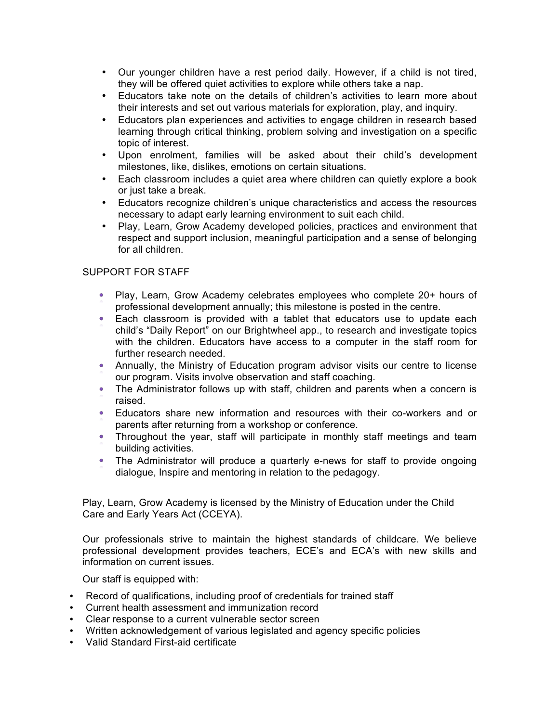- Our younger children have a rest period daily. However, if a child is not tired, they will be offered quiet activities to explore while others take a nap.
- Educators take note on the details of children's activities to learn more about their interests and set out various materials for exploration, play, and inquiry.
- Educators plan experiences and activities to engage children in research based learning through critical thinking, problem solving and investigation on a specific topic of interest.
- Upon enrolment, families will be asked about their child's development milestones, like, dislikes, emotions on certain situations.
- Each classroom includes a quiet area where children can quietly explore a book or just take a break.
- Educators recognize children's unique characteristics and access the resources necessary to adapt early learning environment to suit each child.
- Play, Learn, Grow Academy developed policies, practices and environment that respect and support inclusion, meaningful participation and a sense of belonging for all children.

#### SUPPORT FOR STAFF

- Play, Learn, Grow Academy celebrates employees who complete 20+ hours of professional development annually; this milestone is posted in the centre.
- Each classroom is provided with a tablet that educators use to update each child's "Daily Report" on our Brightwheel app., to research and investigate topics with the children. Educators have access to a computer in the staff room for further research needed.
- Annually, the Ministry of Education program advisor visits our centre to license our program. Visits involve observation and staff coaching.
- The Administrator follows up with staff, children and parents when a concern is raised.
- Educators share new information and resources with their co-workers and or parents after returning from a workshop or conference.
- Throughout the year, staff will participate in monthly staff meetings and team building activities.
- The Administrator will produce a quarterly e-news for staff to provide ongoing dialogue, Inspire and mentoring in relation to the pedagogy.

Play, Learn, Grow Academy is licensed by the Ministry of Education under the Child Care and Early Years Act (CCEYA).

Our professionals strive to maintain the highest standards of childcare. We believe professional development provides teachers, ECE's and ECA's with new skills and information on current issues.

Our staff is equipped with:

- Record of qualifications, including proof of credentials for trained staff
- Current health assessment and immunization record
- Clear response to a current vulnerable sector screen
- Written acknowledgement of various legislated and agency specific policies
- Valid Standard First-aid certificate